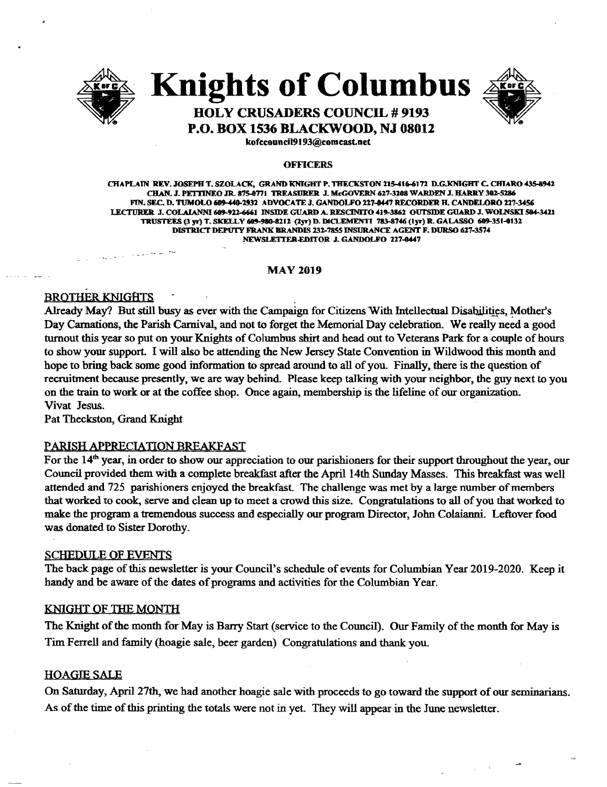

# **Knights of Columbus**



# **HOLY CRUSADERS COUNCIL # 9193** P.O. BOX 1536 BLACKWOOD, NJ 08012

kofccouncil9193@comcast.net

#### **OFFICERS**

CHAPLAIN REV. JOSEPH T. SZOLACK, GRAND KNIGHT P. THECKSTON 215-416-6172 D.G.KNIGHT C. CHIARO 435-8942 CHAN. J. PETTINEO JR. 875-0771 TREASURER J. McGOVERN 627-3208 WARDEN J. HARRY 302-5286 FIN. SEC. D. TUMOLO 609-440-2932 ADVOCATE J. GANDOLFO 227-0447 RECORDER H. CANDELORO 227-3456 LECTURER J. COLAIANNI 609-922-6661 INSIDE GUARD A. RESCINITO 419-3862 OUTSIDE GUARD J. WOLNSKI 504-3421 TRUSTEES (3 vr) T. SKELLY 609-980-8212 (2vr) D. DICLEMENTI 783-8746 (1vr) R. GALASSO 609-351-0132 DISTRICT DEPUTY FRANK BRANDIS 232-7855 INSURANCE AGENT F. DURSO 627-3574 NEWSLETTER EDITOR J. GANDOLFO 227-0447

#### **MAY 2019**

# **BROTHER KNIGHTS**

 $\label{eq:Ricci} \left\langle \gamma_{R,\mathbf{q}_{\mathrm{c},\mathbf{q}}}\right\rangle_{\mathbf{q}}\left\langle \mathbf{q}_{\mathrm{c},\mathbf{q}}\right\rangle_{\mathbf{q}}=\left\langle \gamma_{\mathrm{c},\mathbf{q}}\right\rangle_{\mathbf{q}}\left\langle \gamma_{\mathrm{c},\mathbf{q}}\right\rangle_{\mathbf{q}}\left\langle \gamma_{\mathrm{c},\mathbf{q}}\right\rangle_{\mathbf{q}}\left\langle \gamma_{\mathrm{c},\mathbf{q}}\right\rangle_{\mathbf{q}}\left\langle \gamma_{\mathrm{c},\mathbf{q}}\right\rangle_{\mathbf{$ 

Already May? But still busy as ever with the Campaign for Citizens With Intellectual Disabilities, Mother's Day Carnations, the Parish Carnival, and not to forget the Memorial Day celebration. We really need a good turnout this year so put on your Knights of Columbus shirt and head out to Veterans Park for a couple of hours to show your support. I will also be attending the New Jersey State Convention in Wildwood this month and hope to bring back some good information to spread around to all of you. Finally, there is the question of recruitment because presently, we are way behind. Please keep talking with your neighbor, the guy next to you on the train to work or at the coffee shop. Once again, membership is the lifeline of our organization. Vivat Jesus.

Pat Theckston, Grand Knight

# PARISH APPRECIATION BREAKFAST

For the  $14<sup>th</sup>$  year, in order to show our appreciation to our parishioners for their support throughout the year, our Council provided them with a complete breakfast after the April 14th Sunday Masses. This breakfast was well attended and 725 parishioners enjoyed the breakfast. The challenge was met by a large number of members that worked to cook, serve and clean up to meet a crowd this size. Congratulations to all of you that worked to make the program a tremendous success and especially our program Director, John Colaianni. Leftover food was donated to Sister Dorothy.

# **SCHEDULE OF EVENTS**

The back page of this newsletter is your Council's schedule of events for Columbian Year 2019-2020. Keep it handy and be aware of the dates of programs and activities for the Columbian Year.

# KNIGHT OF THE MONTH

The Knight of the month for May is Barry Start (service to the Council). Our Family of the month for May is Tim Ferrell and family (hoagie sale, beer garden) Congratulations and thank you.

#### **HOAGIE SALE**

On Saturday, April 27th, we had another hoagie sale with proceeds to go toward the support of our seminarians. As of the time of this printing the totals were not in yet. They will appear in the June newsletter.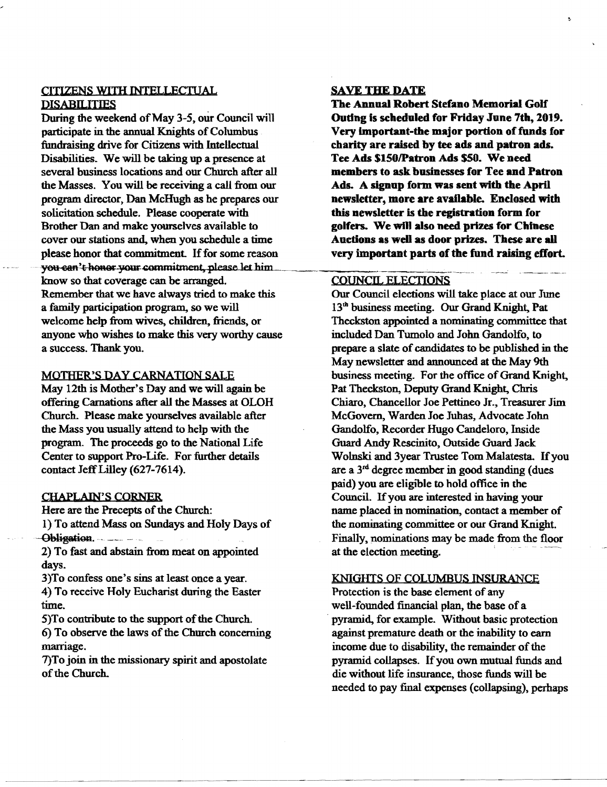# CITIZENS WITH INTELLECTUAL **DISABILITIES**

During the weekend of May 3-5, our Council will participate in the annual Knights of Columbus fundraising drive for Citizens with Intellectual Disabilities. We will be taking up a presence at several business locations and our Church after all the Masses. You will be receiving a call from our program director, Dan McHugh as he prepares our solicitation schedule. Please cooperate with Brother Dan and make yourselves available to cover our stations and, when you schedule a time please honor that commitment. If for some reason you can't honor your commitment, please let him know so that coverage can be arranged. Remember that we have always tried to make this a family participation program, so we will welcome help from wives, children, friends, or anyone who wishes to make this very worthy cause a success. Thank you.

#### MOTHER'S DAY CARNATION SALE

May 12th is Mother's Day and we will again be offering Carnations after all the Masses at OLOH Church. Please make yourselves available after the Mass you usually attend to help with the program. The proceeds go to the National Life Center to support Pro-Life. For further details contact Jeff Lilley (627-7614).

#### CHAPLAIN'S CORNER

Here are the Precepts of the Church:

I) To attend Mass on Sundays and Holy Days of Obligation. ------

2) To fast and abstain from meat on appointed days.

3)To confess one's sins at least once a year.

4) To receive Holy Eucharist during the Easter time.

5)To contribute to the support of the Church.

6) To observe the laws of the Church concerning marriage.

7)To join in the missionary spirit and apostolate of the Church.

# SAVE THE DATE

The Annual Robert Stefano Memorial Golf Outing is scheduled for Friday June 7th, 2019. Very important-the major portion of funds for charity are raised by tee ads and patron ads. Tee Ads \$150/Patron Ads \$50. We need members to ask businesses for Tee and Patron Ads. A signup form was sent with the April newsletter, more are available. Enclosed with this newsletter is the registration form for golfers. We wilt also need prizes for Chinese Auctions as well as door prizes. These are all very important parts of the fund raising effort.

#### COUNCIL ELECTIONS

Our Council elections will take place at our June 13<sup>th</sup> business meeting. Our Grand Knight, Pat Theckston appointed a nominating committee that included Dan Tumolo and John Gandolfo, to prepare a slate of candidates to be published in the May newsletter and announced at the May 9th business meeting. For the office of Grand Knight, Pat Theckston, Deputy Grand Knight, Chris Chiaro, Chancellor Joe Pettineo Jr., Treasurer Jim McGovern, Warden Joe Juhas, Advocate John Gandolfo, Recorder Hugo Candeloro, Inside Guard Andy Rescinito, Outside Guard Jack Wolnski and 3year Trustee Tom Malatesta. If you are a  $3<sup>rd</sup>$  degree member in good standing (dues paid) you are eligible to hold office in the Council. If you are interested in having your name placed in nomination, contact a member of the nominating committee or our Grand Knight. Finally, nominations may be made from the floor at the election meeting. .

#### KNlGlITS OF COLUMBUS INSURANCE

Protection is the base element of any well-founded financial plan, the base of a . pyramid, for example. Without basic protection against premature death or the inability to earn income due to disability, the remainder of the pyramid collapses. If you own mutual funds and die without life insurance, those funds will be needed to pay final expenses (collapsing). perhaps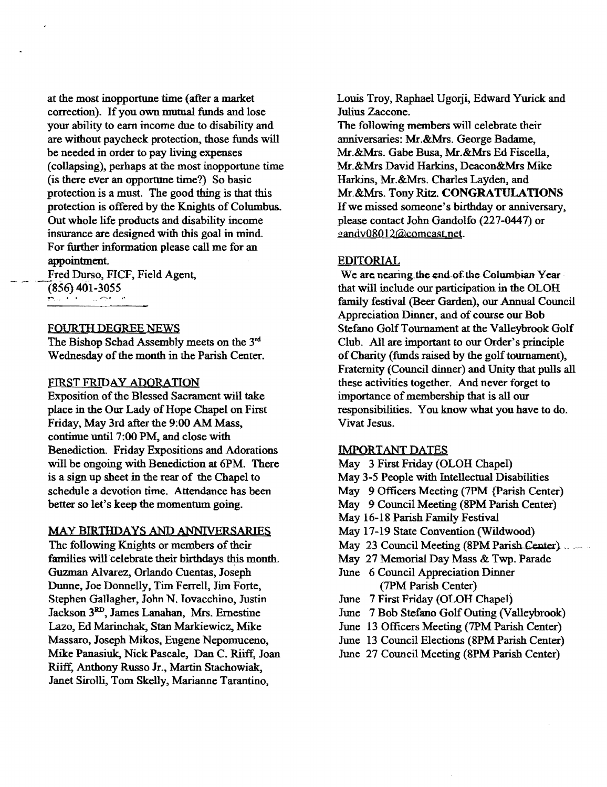at the most inopportune time (after a market correction). If you own mutual funds and lose your ability to earn income due to disability and are without paycheck protection, those funds will be needed in order to pay living expenses (collapsing), perhaps at the most inopportune time (is there ever an opportune time?) So basic protection is a must. The good thing is that this protection is offered by the Knights of Columbus. Out whole life products and disability income insurance are designed with this goal in mind. For further information please call me for an appointment

Fred Durso, FICF, Field Agent,  $(856)$  401-3055

# FOURTH DEGREE NEWS

The Bishop Schad Assembly meets on the 3rd Wednesday of the month in the Parish Center.

### FIRST FRIDAY ADORATION

Exposition of the Blessed Sacrament will take place in the Our Lady of Hope Chapel on First Friday, May 3rd after the 9:00 AM Mass, continue unti17:00 PM, and close with Benediction. Friday Expositions and Adorations will be ongoing with Benediction at 6PM. There is a sign up sheet in the rear of the Chapel to schedule a devotion time. Attendance has been better so let's keep the momentum going.

#### MAY BIRTHDAYS AND ANNNERSARIES

The following Knights or members of their families will celebrate their birthdays this month. Guzman Alvarez, Orlando Cuentas, Joseph Dunne, Joe Donnelly, Tim Ferrell, Jim Forte. Stephen Gallagher, John N. Tovacchino. Justin Jackson 3RD, James Lanahan, Mrs. Ernestine Lazo, Ed Marinchak, Stan Markiewicz, Mike Massaro, Joseph Mikos, Eugene Nepomuceno, Mike Panasiuk, Nick Pascale, Dan C. Riiff, Joan Riiff, Anthony Russo Jr., Martin Stachowiak, Janet Sirolli, Tom Skelly, Marianne Tarantino,

Louis Troy, Raphael Ugorji, Edward Yurick and Julius Zaccone.

The following members will celebrate their anniversaries: Mr.&Mrs. George Badame, Mr.&Mrs. Gabe Busa, Mr.&Mrs Ed Fiscella, Mr.&Mrs David Harkins, Deacon&Mrs Mike Harkins, Mr.&Mrs. Charles Layden, and Mr.&Mrs. Tony Ritz. CONGRATULATIONS Ifwe missed someone's birthday or anniversary, please contact John Gandolfo (227-0447) or gandv08012@comcast.net.

#### EDITORIAL

We are nearing the end of the Columbian Year that will include our participation in the OLOH family festival (Beer Garden). our Annual Council Appreciation Dinner, and of course our Bob Stefano Golf Tournament at the Valleybrook Golf Club. All are important to our Order's principle of Charity (funds raised by the golf tournament), Fraternity (Council dinner) and Unity that pulls all these activities together. And never forget to importance of membership that is all our responsibilities. You know what you have to do. Vivat Jesus.

# IMPORTANT DATES

- May 3 First Friday (OLOH Chapel) May 3-5 People with Intellectual Disabilities May 9 Officers Meeting (?PM {Parish Center) May 9 Council Meeting (8PM Parish Center) May 16-18 Parish Family Festival May 17-19 State Convention (Wildwood) May 23 Council Meeting (8PM Parish Center). May 27 Memorial Day Mass & Twp. Parade June 6 Council Appreciation Dinner (7PM Parish Center) June 7 First Friday (OLOR Chapel) June 7 Bob Stefano Golf Outing (Valleybrook) June 13 Officers Meeting (7PM Parish Center)
- June 13 Council Elections (8PM Parish Center)
- June 27 Council Meeting (8PM Parish Center)